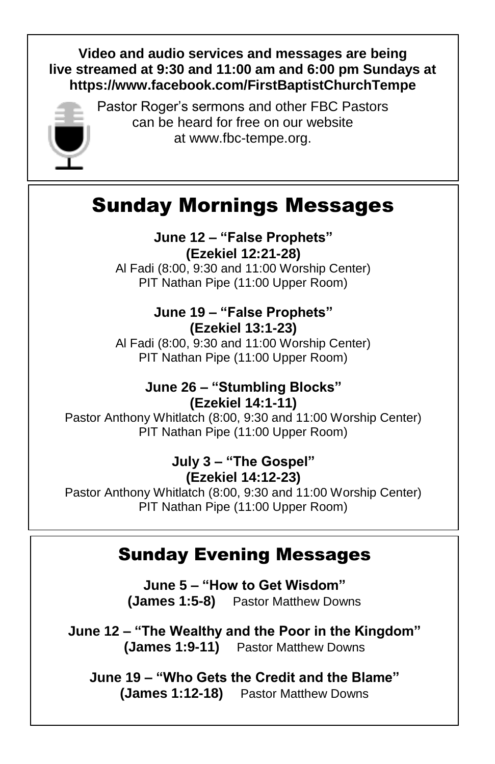### **Video and audio services and messages are being live streamed at 9:30 and 11:00 am and 6:00 pm Sundays at <https://www.facebook.com/FirstBaptistChurchTempe>**



Pastor Roger's sermons and other FBC Pastors can be heard for free on our website at [www.fbc-tempe.org.](http://www.fbc-tempe.org/)

# Sunday Mornings Messages

#### **June 12 – "False Prophets" (Ezekiel 12:21-28)**

Al Fadi (8:00, 9:30 and 11:00 Worship Center) PIT Nathan Pipe (11:00 Upper Room)

#### **June 19 – "False Prophets" (Ezekiel 13:1-23)**

Al Fadi (8:00, 9:30 and 11:00 Worship Center) PIT Nathan Pipe (11:00 Upper Room)

### **June 26 – "Stumbling Blocks" (Ezekiel 14:1-11)**

Pastor Anthony Whitlatch (8:00, 9:30 and 11:00 Worship Center) PIT Nathan Pipe (11:00 Upper Room)

### **July 3 – "The Gospel" (Ezekiel 14:12-23)**

Pastor Anthony Whitlatch (8:00, 9:30 and 11:00 Worship Center) PIT Nathan Pipe (11:00 Upper Room)

## Sunday Evening Messages

**June 5 – "How to Get Wisdom" (James 1:5-8)** Pastor Matthew Downs

**June 12 – "The Wealthy and the Poor in the Kingdom" (James 1:9-11)** Pastor Matthew Downs

**June 19 – "Who Gets the Credit and the Blame" (James 1:12-18)** Pastor Matthew Downs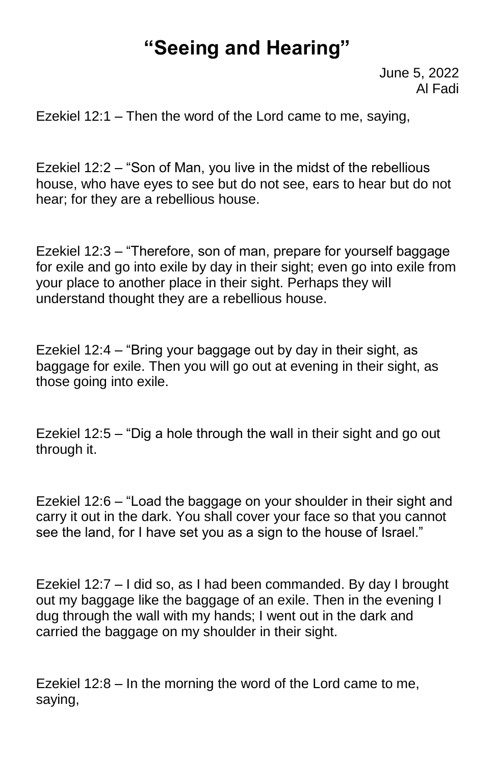# **"Seeing and Hearing"**

June 5, 2022 Al Fadi

Ezekiel 12:1 – Then the word of the Lord came to me, saying,

Ezekiel 12:2 – "Son of Man, you live in the midst of the rebellious house, who have eyes to see but do not see, ears to hear but do not hear; for they are a rebellious house.

Ezekiel 12:3 – "Therefore, son of man, prepare for yourself baggage for exile and go into exile by day in their sight; even go into exile from your place to another place in their sight. Perhaps they will understand thought they are a rebellious house.

Ezekiel 12:4 – "Bring your baggage out by day in their sight, as baggage for exile. Then you will go out at evening in their sight, as those going into exile.

Ezekiel 12:5 – "Dig a hole through the wall in their sight and go out through it.

Ezekiel 12:6 – "Load the baggage on your shoulder in their sight and carry it out in the dark. You shall cover your face so that you cannot see the land, for I have set you as a sign to the house of Israel."

Ezekiel 12:7 – I did so, as I had been commanded. By day I brought out my baggage like the baggage of an exile. Then in the evening I dug through the wall with my hands; I went out in the dark and carried the baggage on my shoulder in their sight.

Ezekiel 12:8 – In the morning the word of the Lord came to me, saying,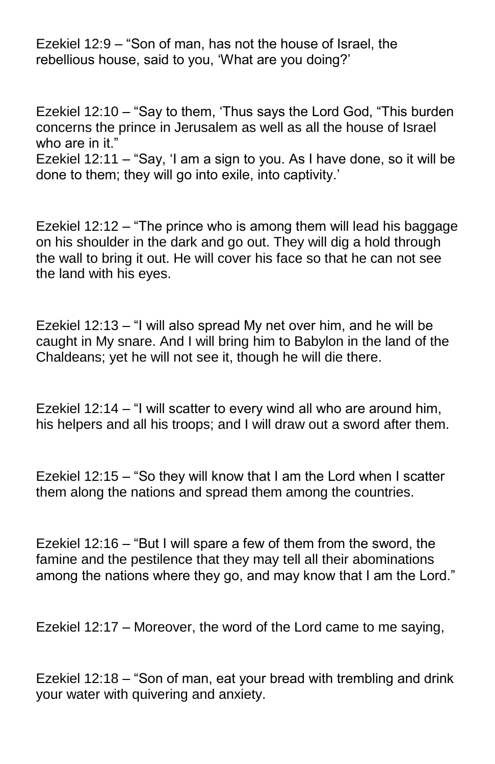Ezekiel 12:9 – "Son of man, has not the house of Israel, the rebellious house, said to you, 'What are you doing?'

Ezekiel 12:10 – "Say to them, 'Thus says the Lord God, "This burden concerns the prince in Jerusalem as well as all the house of Israel who are in it."

Ezekiel 12:11 – "Say, 'I am a sign to you. As I have done, so it will be done to them; they will go into exile, into captivity.'

Ezekiel 12:12 – "The prince who is among them will lead his baggage on his shoulder in the dark and go out. They will dig a hold through the wall to bring it out. He will cover his face so that he can not see the land with his eyes.

Ezekiel 12:13 – "I will also spread My net over him, and he will be caught in My snare. And I will bring him to Babylon in the land of the Chaldeans; yet he will not see it, though he will die there.

Ezekiel 12:14 – "I will scatter to every wind all who are around him, his helpers and all his troops; and I will draw out a sword after them.

Ezekiel 12:15 – "So they will know that I am the Lord when I scatter them along the nations and spread them among the countries.

Ezekiel 12:16 – "But I will spare a few of them from the sword, the famine and the pestilence that they may tell all their abominations among the nations where they go, and may know that I am the Lord."

Ezekiel 12:17 – Moreover, the word of the Lord came to me saying,

Ezekiel 12:18 – "Son of man, eat your bread with trembling and drink your water with quivering and anxiety.